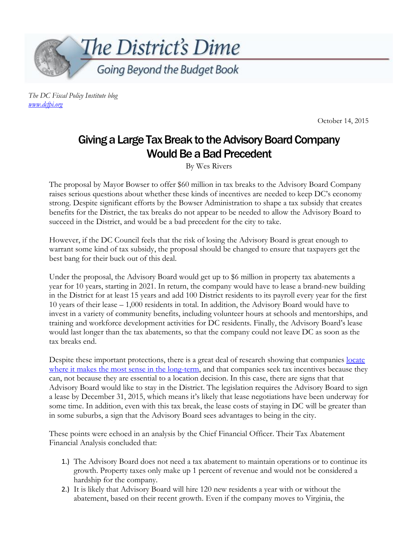

*The DC Fiscal Policy Institute blog [www.dcfpi.org](http://www.dcfpi.org/)*

October 14, 2015

## Giving a Large Tax Break to the Advisory Board Company Would Be a Bad Precedent

By Wes Rivers

The proposal by Mayor Bowser to offer \$60 million in tax breaks to the Advisory Board Company raises serious questions about whether these kinds of incentives are needed to keep DC's economy strong. Despite significant efforts by the Bowser Administration to shape a tax subsidy that creates benefits for the District, the tax breaks do not appear to be needed to allow the Advisory Board to succeed in the District, and would be a bad precedent for the city to take.

However, if the DC Council feels that the risk of losing the Advisory Board is great enough to warrant some kind of tax subsidy, the proposal should be changed to ensure that taxpayers get the best bang for their buck out of this deal.

Under the proposal, the Advisory Board would get up to \$6 million in property tax abatements a year for 10 years, starting in 2021. In return, the company would have to lease a brand-new building in the District for at least 15 years and add 100 District residents to its payroll every year for the first 10 years of their lease – 1,000 residents in total. In addition, the Advisory Board would have to invest in a variety of community benefits, including volunteer hours at schools and mentorships, and training and workforce development activities for DC residents. Finally, the Advisory Board's lease would last longer than the tax abatements, so that the company could not leave DC as soon as the tax breaks end.

Despite these important protections, there is a great deal of research showing that companies locate [where it makes the most sense in the long-term,](http://www.cbpp.org/blog/more-evidence-that-you-cant-lure-entrepreneurs-with-tax-cuts) and that companies seek tax incentives because they can, not because they are essential to a location decision. In this case, there are signs that that Advisory Board would like to stay in the District. The legislation requires the Advisory Board to sign a lease by December 31, 2015, which means it's likely that lease negotiations have been underway for some time. In addition, even with this tax break, the lease costs of staying in DC will be greater than in some suburbs, a sign that the Advisory Board sees advantages to being in the city.

These points were echoed in an analysis by the Chief Financial Officer. Their Tax Abatement Financial Analysis concluded that:

- 1.) The Advisory Board does not need a tax abatement to maintain operations or to continue its growth. Property taxes only make up 1 percent of revenue and would not be considered a hardship for the company.
- 2.) It is likely that Advisory Board will hire 120 new residents a year with or without the abatement, based on their recent growth. Even if the company moves to Virginia, the